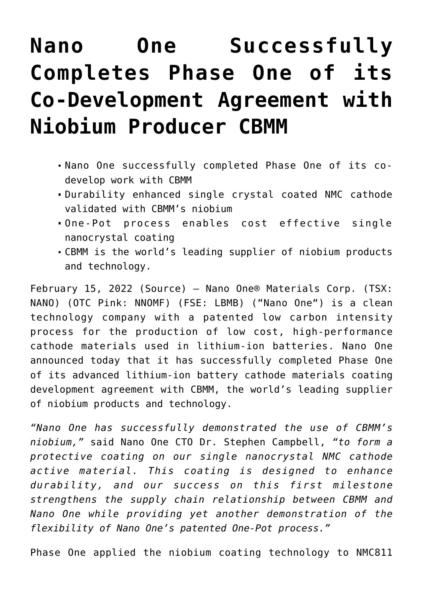## **[Nano One Successfully](https://investorintel.com/markets/cleantech/cleantech-news/nano-one-successfully-completes-phase-one-of-its-co-development-agreement-with-niobium-producer-cbmm/) [Completes Phase One of its](https://investorintel.com/markets/cleantech/cleantech-news/nano-one-successfully-completes-phase-one-of-its-co-development-agreement-with-niobium-producer-cbmm/) [Co-Development Agreement with](https://investorintel.com/markets/cleantech/cleantech-news/nano-one-successfully-completes-phase-one-of-its-co-development-agreement-with-niobium-producer-cbmm/) [Niobium Producer CBMM](https://investorintel.com/markets/cleantech/cleantech-news/nano-one-successfully-completes-phase-one-of-its-co-development-agreement-with-niobium-producer-cbmm/)**

- Nano One successfully completed Phase One of its codevelop work with CBMM
- Durability enhanced single crystal coated NMC cathode validated with CBMM's niobium
- One-Pot process enables cost effective single nanocrystal coating
- CBMM is the world's leading supplier of niobium products and technology.

February 15, 2022 ([Source\)](https://www.newsfilecorp.com/release/113822) — Nano One® Materials Corp. (TSX: NANO) (OTC Pink: NNOMF) (FSE: LBMB) ("[Nano One"](https://www.newsfilecorp.com/redirect/Er57WIWDpZ)) is a clean technology company with a patented low carbon intensity process for the production of low cost, high-performance cathode materials used in lithium-ion batteries. Nano One announced today that it has successfully completed Phase One of its advanced lithium-ion battery cathode materials coating development agreement with CBMM, the world's leading supplier of niobium products and technology.

*"Nano One has successfully demonstrated the use of CBMM's niobium,"* said Nano One CTO Dr. Stephen Campbell, *"to form a protective coating on our single nanocrystal NMC cathode active material. This coating is designed to enhance durability, and our success on this first milestone strengthens the supply chain relationship between CBMM and Nano One while providing yet another demonstration of the flexibility of Nano One's patented One-Pot process."*

Phase One applied the niobium coating technology to NMC811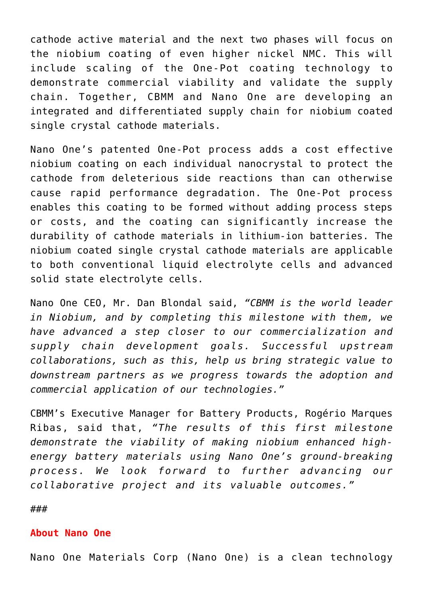cathode active material and the next two phases will focus on the niobium coating of even higher nickel NMC. This will include scaling of the One-Pot coating technology to demonstrate commercial viability and validate the supply chain. Together, CBMM and Nano One are developing an integrated and differentiated supply chain for niobium coated single crystal cathode materials.

Nano One's patented One-Pot process adds a cost effective niobium coating on each individual nanocrystal to protect the cathode from deleterious side reactions than can otherwise cause rapid performance degradation. The One-Pot process enables this coating to be formed without adding process steps or costs, and the coating can significantly increase the durability of cathode materials in lithium-ion batteries. The niobium coated single crystal cathode materials are applicable to both conventional liquid electrolyte cells and advanced solid state electrolyte cells.

Nano One CEO, Mr. Dan Blondal said, *"CBMM is the world leader in Niobium, and by completing this milestone with them, we have advanced a step closer to our commercialization and supply chain development goals. Successful upstream collaborations, such as this, help us bring strategic value to downstream partners as we progress towards the adoption and commercial application of our technologies."*

CBMM's Executive Manager for Battery Products, Rogério Marques Ribas, said that, *"The results of this first milestone demonstrate the viability of making niobium enhanced highenergy battery materials using Nano One's ground-breaking process. We look forward to further advancing our collaborative project and its valuable outcomes."*

###

## **About Nano One**

Nano One Materials Corp (Nano One) is a clean technology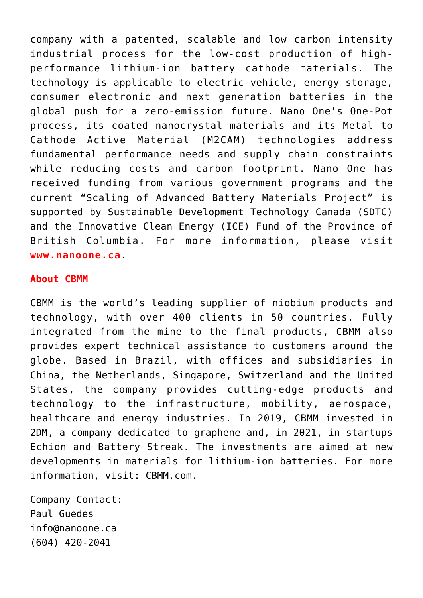company with a patented, scalable and low carbon intensity industrial process for the low-cost production of highperformance lithium-ion battery cathode materials. The technology is applicable to electric vehicle, energy storage, consumer electronic and next generation batteries in the global push for a zero-emission future. Nano One's One-Pot process, its coated nanocrystal materials and its Metal to Cathode Active Material (M2CAM) technologies address fundamental performance needs and supply chain constraints while reducing costs and carbon footprint. Nano One has received funding from various government programs and the current "Scaling of Advanced Battery Materials Project" is supported by Sustainable Development Technology Canada (SDTC) and the Innovative Clean Energy (ICE) Fund of the Province of British Columbia. For more information, please visit **[www.nanoone.ca](https://www.newsfilecorp.com/redirect/xOK5XUoq1D)**.

## **About CBMM**

CBMM is the world's leading supplier of niobium products and technology, with over 400 clients in 50 countries. Fully integrated from the mine to the final products, CBMM also provides expert technical assistance to customers around the globe. Based in Brazil, with offices and subsidiaries in China, the Netherlands, Singapore, Switzerland and the United States, the company provides cutting-edge products and technology to the infrastructure, mobility, aerospace, healthcare and energy industries. In 2019, CBMM invested in 2DM, a company dedicated to graphene and, in 2021, in startups Echion and Battery Streak. The investments are aimed at new developments in materials for lithium-ion batteries. For more information, visit: [CBMM.com](https://www.newsfilecorp.com/redirect/7eXOmSqKLX).

Company Contact: Paul Guedes [info@nanoone.ca](mailto:info@nanoone.ca) (604) 420-2041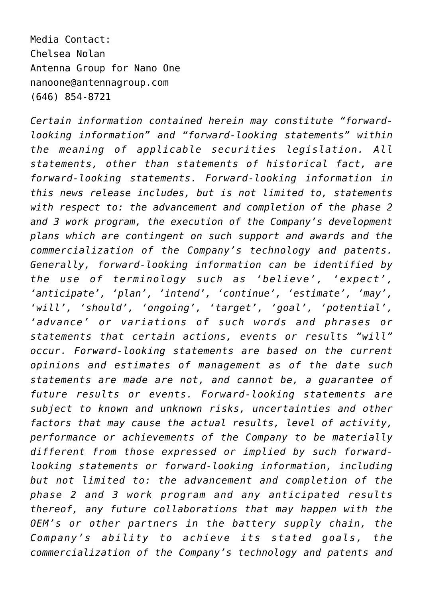Media Contact: Chelsea Nolan Antenna Group for Nano One [nanoone@antennagroup.com](mailto:nanoone@antennagroup.com) (646) 854-8721

*Certain information contained herein may constitute "forwardlooking information" and "forward-looking statements" within the meaning of applicable securities legislation. All statements, other than statements of historical fact, are forward-looking statements. Forward-looking information in this news release includes, but is not limited to, statements with respect to: the advancement and completion of the phase 2 and 3 work program, the execution of the Company's development plans which are contingent on such support and awards and the commercialization of the Company's technology and patents. Generally, forward-looking information can be identified by the use of terminology such as 'believe', 'expect', 'anticipate', 'plan', 'intend', 'continue', 'estimate', 'may', 'will', 'should', 'ongoing', 'target', 'goal', 'potential', 'advance' or variations of such words and phrases or statements that certain actions, events or results "will" occur. Forward-looking statements are based on the current opinions and estimates of management as of the date such statements are made are not, and cannot be, a guarantee of future results or events. Forward-looking statements are subject to known and unknown risks, uncertainties and other factors that may cause the actual results, level of activity, performance or achievements of the Company to be materially different from those expressed or implied by such forwardlooking statements or forward-looking information, including but not limited to: the advancement and completion of the phase 2 and 3 work program and any anticipated results thereof, any future collaborations that may happen with the OEM's or other partners in the battery supply chain, the Company's ability to achieve its stated goals, the commercialization of the Company's technology and patents and*